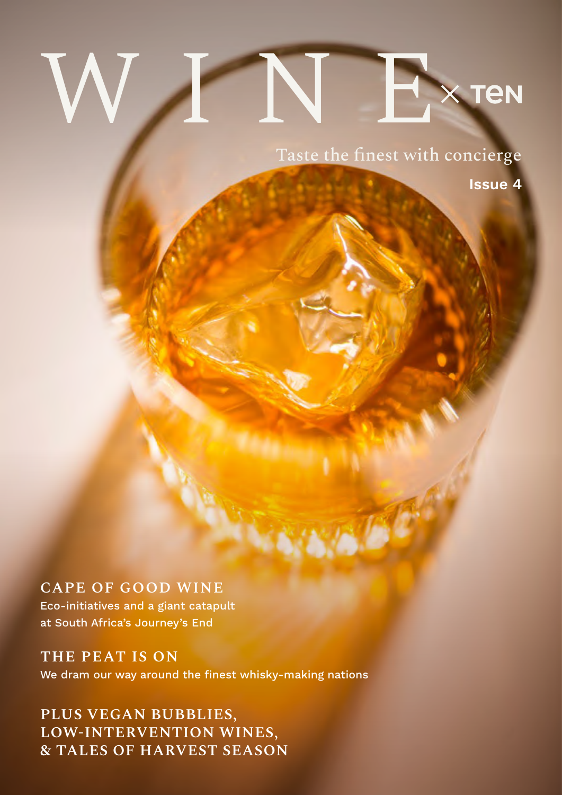## WINE **TEN**

Taste the finest with concierge

**Issue 4**

## **CAPE OF GOOD WINE**

Eco-initiatives and a giant catapult at South Africa's Journey's End

**THE PEAT IS ON** We dram our way around the finest whisky-making nations

**PLUS VEGAN BUBBLIES, LOW-INTERVENTION WINES, & TALES OF HARVEST SEASON**